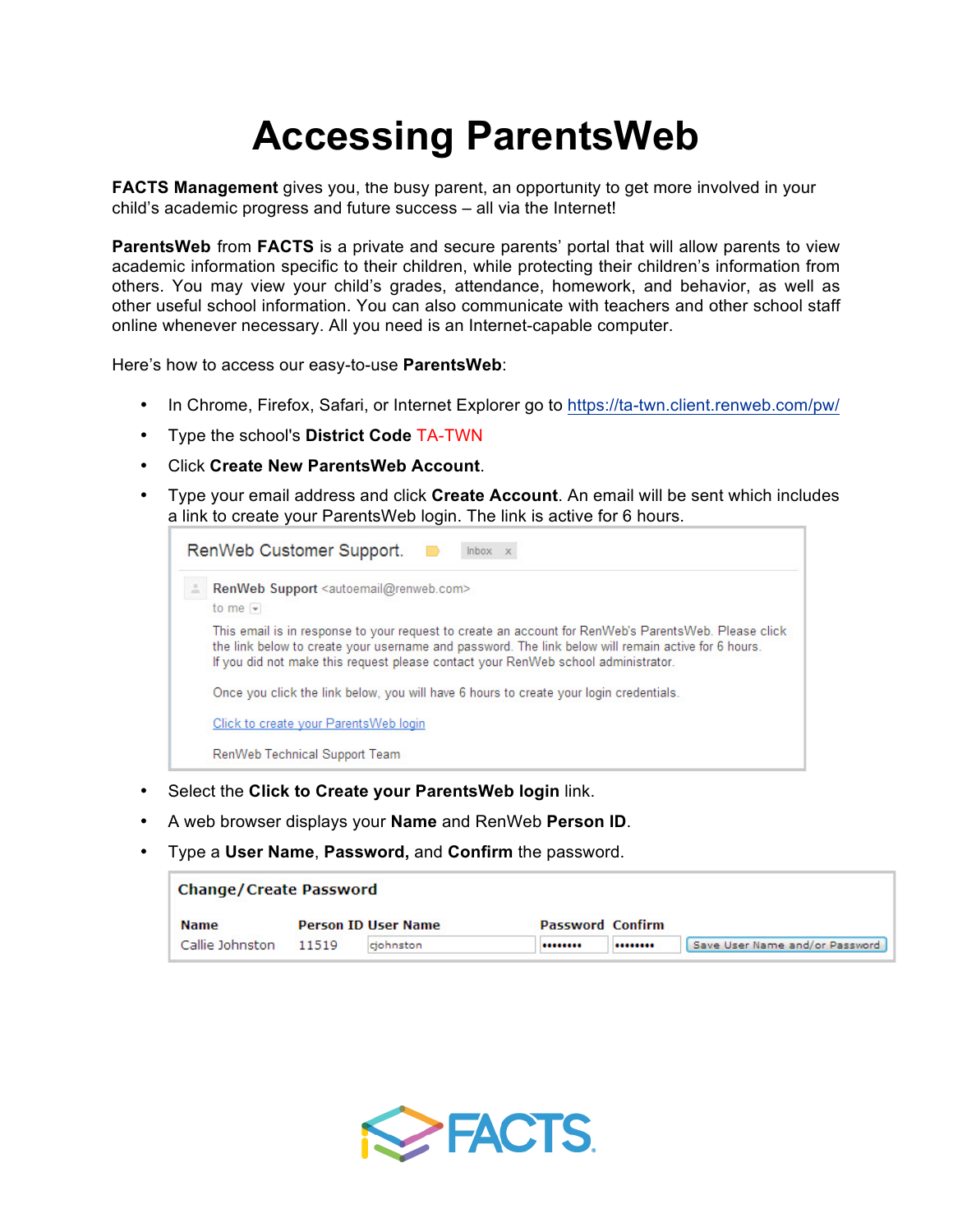## **Accessing ParentsWeb**

**FACTS Management** gives you, the busy parent, an opportunity to get more involved in your child's academic progress and future success – all via the Internet!

**ParentsWeb** from **FACTS** is a private and secure parents' portal that will allow parents to view academic information specific to their children, while protecting their children's information from others. You may view your child's grades, attendance, homework, and behavior, as well as other useful school information. You can also communicate with teachers and other school staff online whenever necessary. All you need is an Internet-capable computer.

Here's how to access our easy-to-use **ParentsWeb**:

- In Chrome, Firefox, Safari, or Internet Explorer go to https://ta-twn.client.renweb.com/pw/
- Type the school's **District Code** TA-TWN
- Click **Create New ParentsWeb Account**.
- Type your email address and click **Create Account**. An email will be sent which includes a link to create your ParentsWeb login. The link is active for 6 hours.

| RenWeb Customer Support.<br>$lnbox \times x$ |                                                                                                                                                                                                                                                                                                  |  |  |  |  |  |  |  |  |
|----------------------------------------------|--------------------------------------------------------------------------------------------------------------------------------------------------------------------------------------------------------------------------------------------------------------------------------------------------|--|--|--|--|--|--|--|--|
|                                              | RenWeb Support <autoemail@renweb.com><br/>to me <math>-</math></autoemail@renweb.com>                                                                                                                                                                                                            |  |  |  |  |  |  |  |  |
|                                              | This email is in response to your request to create an account for RenWeb's ParentsWeb. Please click<br>the link below to create your username and password. The link below will remain active for 6 hours.<br>If you did not make this request please contact your RenWeb school administrator. |  |  |  |  |  |  |  |  |
|                                              | Once you click the link below, you will have 6 hours to create your login credentials.                                                                                                                                                                                                           |  |  |  |  |  |  |  |  |
|                                              | Click to create your Parents Web login                                                                                                                                                                                                                                                           |  |  |  |  |  |  |  |  |
|                                              | RenWeb Technical Support Team                                                                                                                                                                                                                                                                    |  |  |  |  |  |  |  |  |

- Select the **Click to Create your ParentsWeb login** link.
- A web browser displays your **Name** and RenWeb **Person ID**.
- Type a **User Name**, **Password,** and **Confirm** the password.

| <b>Change/Create Password</b> |       |                            |                         |  |                                |  |  |  |
|-------------------------------|-------|----------------------------|-------------------------|--|--------------------------------|--|--|--|
| <b>Name</b>                   |       | <b>Person ID User Name</b> | <b>Password Confirm</b> |  |                                |  |  |  |
| Callie Johnston               | 11519 | ciohnston                  |                         |  | Save User Name and/or Password |  |  |  |